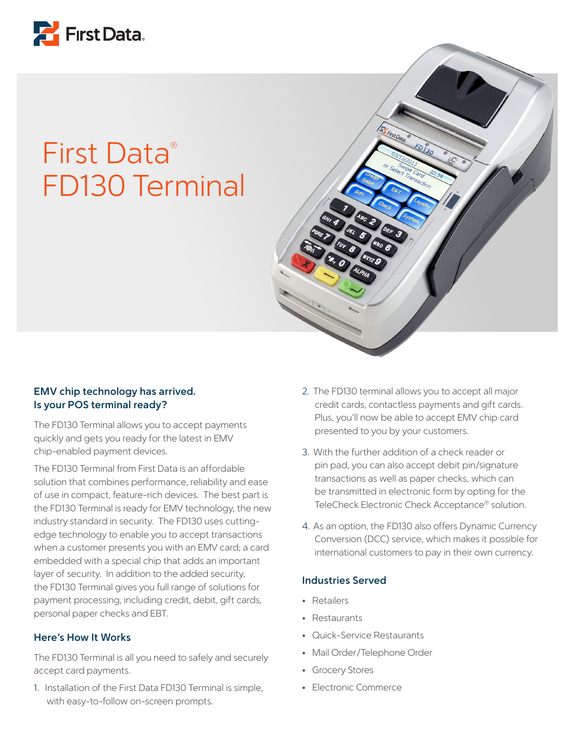

## First Data® FD130 Terminal



## **EMV chip technology has arrived. Is your POS terminal ready?**

The FD130 Terminal allows you to accept payments quickly and gets you ready for the latest in EMV chip-enabled payment devices.

The FD130 Terminal from First Data is an affordable solution that combines performance, reliability and ease of use in compact, feature-rich devices. The best part is the FD130 Terminal is ready for EMV technology, the new industry standard in security. The FD130 uses cuttingedge technology to enable you to accept transactions when a customer presents you with an EMV card; a card embedded with a special chip that adds an important layer of security. In addition to the added security, the FD130 Terminal gives you full range of solutions for payment processing, including credit, debit, gift cards, personal paper checks and EBT.

### **Here's How It Works**

The FD130 Terminal is all you need to safely and securely accept card payments.

1. Installation of the First Data FD130 Terminal is simple, with easy-to-follow on-screen prompts.

- 2. The FD130 terminal allows you to accept all major credit cards, contactless payments and gift cards. Plus, you'll now be able to accept EMV chip card presented to you by your customers.
- 3. With the further addition of a check reader or pin pad, you can also accept debit pin/signature transactions as well as paper checks, which can be transmitted in electronic form by opting for the TeleCheck Electronic Check Acceptance® solution.
- 4. As an option, the FD130 also offers Dynamic Currency Conversion (DCC) service, which makes it possible for international customers to pay in their own currency.

## **Industries Served**

- Retailers
- Restaurants
- Quick-Service Restaurants
- Mail Order/Telephone Order
- Grocery Stores
- Electronic Commerce